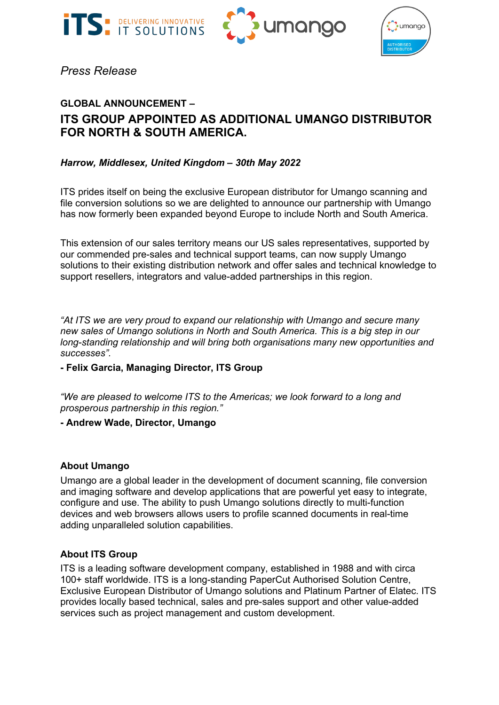





*Press Release*

# **GLOBAL ANNOUNCEMENT – ITS GROUP APPOINTED AS ADDITIONAL UMANGO DISTRIBUTOR FOR NORTH & SOUTH AMERICA.**

### *Harrow, Middlesex, United Kingdom – 30th May 2022*

ITS prides itself on being the exclusive European distributor for Umango scanning and file conversion solutions so we are delighted to announce our partnership with Umango has now formerly been expanded beyond Europe to include North and South America.

This extension of our sales territory means our US sales representatives, supported by our commended pre-sales and technical support teams, can now supply Umango solutions to their existing distribution network and offer sales and technical knowledge to support resellers, integrators and value-added partnerships in this region.

*"At ITS we are very proud to expand our relationship with Umango and secure many new sales of Umango solutions in North and South America. This is a big step in our long-standing relationship and will bring both organisations many new opportunities and successes".* 

#### **- Felix Garcia, Managing Director, ITS Group**

*"We are pleased to welcome ITS to the Americas; we look forward to a long and prosperous partnership in this region."*

#### **- Andrew Wade, Director, Umango**

#### **About Umango**

Umango are a global leader in the development of document scanning, file conversion and imaging software and develop applications that are powerful yet easy to integrate, configure and use. The ability to push Umango solutions directly to multi-function devices and web browsers allows users to profile scanned documents in real-time adding unparalleled solution capabilities.

#### **About ITS Group**

ITS is a leading software development company, established in 1988 and with circa 100+ staff worldwide. ITS is a long-standing PaperCut Authorised Solution Centre, Exclusive European Distributor of Umango solutions and Platinum Partner of Elatec. ITS provides locally based technical, sales and pre-sales support and other value-added services such as project management and custom development.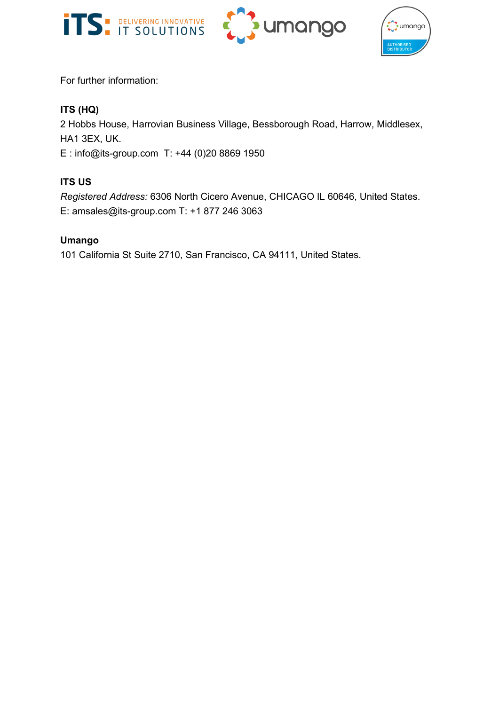





For further information:

## **ITS (HQ)**

2 Hobbs House, Harrovian Business Village, Bessborough Road, Harrow, Middlesex, HA1 3EX, UK.

E : [info@its-group.com](mailto:info@its-group.com) T: +44 (0)20 8869 1950

# **ITS US**

*Registered Address:* 6306 North Cicero Avenue, CHICAGO IL 60646, United States. E: amsales@its-group.com T: +1 877 246 3063

### **Umango**

101 California St Suite 2710, San Francisco, CA 94111, United States.